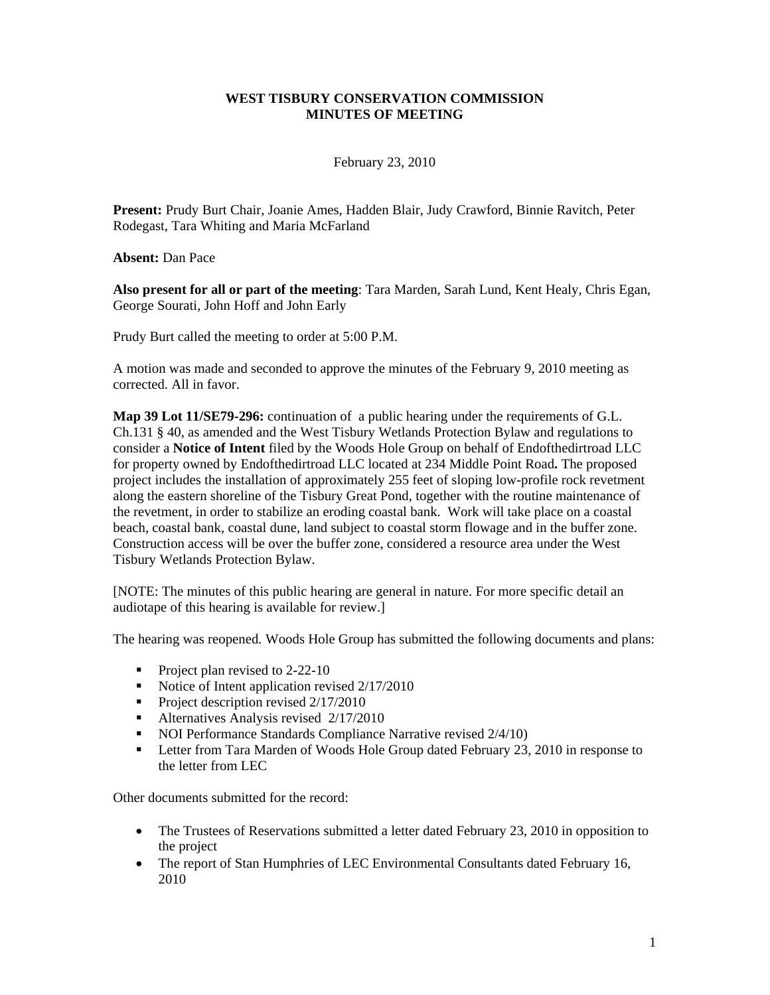# **WEST TISBURY CONSERVATION COMMISSION MINUTES OF MEETING**

February 23, 2010

**Present:** Prudy Burt Chair, Joanie Ames, Hadden Blair, Judy Crawford, Binnie Ravitch, Peter Rodegast, Tara Whiting and Maria McFarland

**Absent:** Dan Pace

**Also present for all or part of the meeting**: Tara Marden, Sarah Lund, Kent Healy, Chris Egan, George Sourati, John Hoff and John Early

Prudy Burt called the meeting to order at 5:00 P.M.

A motion was made and seconded to approve the minutes of the February 9, 2010 meeting as corrected. All in favor.

**Map 39 Lot 11/SE79-296:** continuation of a public hearing under the requirements of G.L. Ch.131 § 40, as amended and the West Tisbury Wetlands Protection Bylaw and regulations to consider a **Notice of Intent** filed by the Woods Hole Group on behalf of Endofthedirtroad LLC for property owned by Endofthedirtroad LLC located at 234 Middle Point Road**.** The proposed project includes the installation of approximately 255 feet of sloping low-profile rock revetment along the eastern shoreline of the Tisbury Great Pond, together with the routine maintenance of the revetment, in order to stabilize an eroding coastal bank. Work will take place on a coastal beach, coastal bank, coastal dune, land subject to coastal storm flowage and in the buffer zone. Construction access will be over the buffer zone, considered a resource area under the West Tisbury Wetlands Protection Bylaw.

[NOTE: The minutes of this public hearing are general in nature. For more specific detail an audiotape of this hearing is available for review.]

The hearing was reopened*.* Woods Hole Group has submitted the following documents and plans:

- Project plan revised to 2-22-10
- Notice of Intent application revised  $2/17/2010$
- Project description revised  $2/17/2010$
- Alternatives Analysis revised  $2/17/2010$
- NOI Performance Standards Compliance Narrative revised  $2/4/10$ )
- **Example 1** Letter from Tara Marden of Woods Hole Group dated February 23, 2010 in response to the letter from LEC

Other documents submitted for the record:

- The Trustees of Reservations submitted a letter dated February 23, 2010 in opposition to the project
- The report of Stan Humphries of LEC Environmental Consultants dated February 16, 2010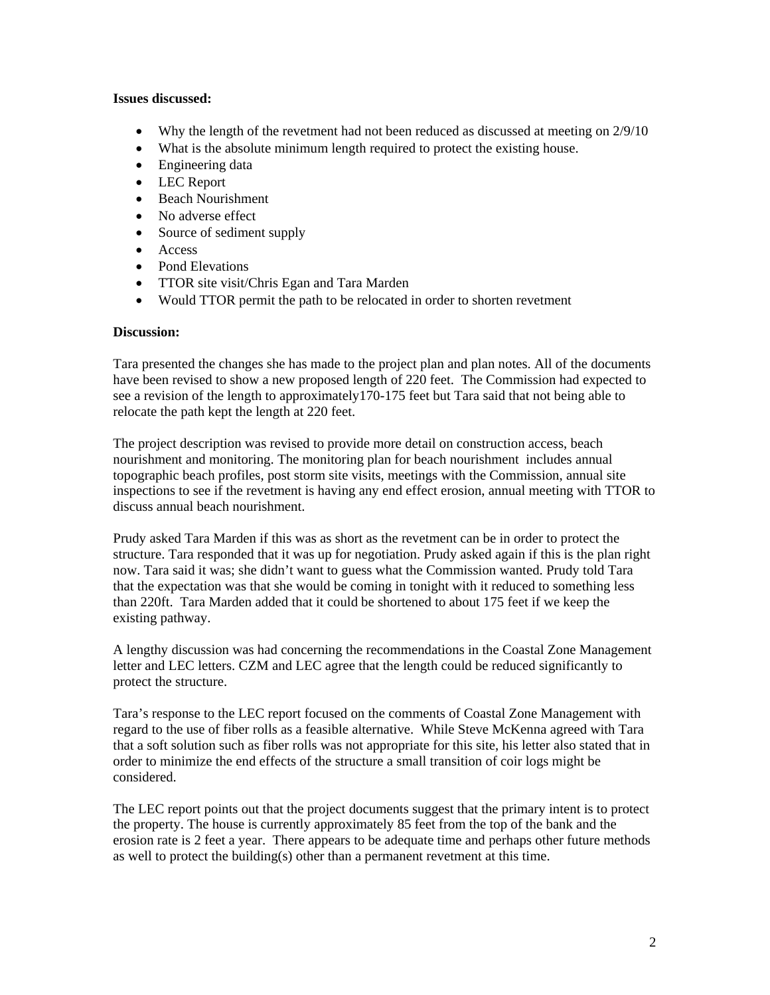# **Issues discussed:**

- Why the length of the revetment had not been reduced as discussed at meeting on 2/9/10
- What is the absolute minimum length required to protect the existing house.
- Engineering data
- LEC Report
- Beach Nourishment
- No adverse effect
- Source of sediment supply
- Access
- Pond Elevations
- TTOR site visit/Chris Egan and Tara Marden
- Would TTOR permit the path to be relocated in order to shorten revetment

## **Discussion:**

Tara presented the changes she has made to the project plan and plan notes. All of the documents have been revised to show a new proposed length of 220 feet. The Commission had expected to see a revision of the length to approximately170-175 feet but Tara said that not being able to relocate the path kept the length at 220 feet.

The project description was revised to provide more detail on construction access, beach nourishment and monitoring. The monitoring plan for beach nourishment includes annual topographic beach profiles, post storm site visits, meetings with the Commission, annual site inspections to see if the revetment is having any end effect erosion, annual meeting with TTOR to discuss annual beach nourishment.

Prudy asked Tara Marden if this was as short as the revetment can be in order to protect the structure. Tara responded that it was up for negotiation. Prudy asked again if this is the plan right now. Tara said it was; she didn't want to guess what the Commission wanted. Prudy told Tara that the expectation was that she would be coming in tonight with it reduced to something less than 220ft. Tara Marden added that it could be shortened to about 175 feet if we keep the existing pathway.

A lengthy discussion was had concerning the recommendations in the Coastal Zone Management letter and LEC letters. CZM and LEC agree that the length could be reduced significantly to protect the structure.

Tara's response to the LEC report focused on the comments of Coastal Zone Management with regard to the use of fiber rolls as a feasible alternative. While Steve McKenna agreed with Tara that a soft solution such as fiber rolls was not appropriate for this site, his letter also stated that in order to minimize the end effects of the structure a small transition of coir logs might be considered.

The LEC report points out that the project documents suggest that the primary intent is to protect the property. The house is currently approximately 85 feet from the top of the bank and the erosion rate is 2 feet a year. There appears to be adequate time and perhaps other future methods as well to protect the building(s) other than a permanent revetment at this time.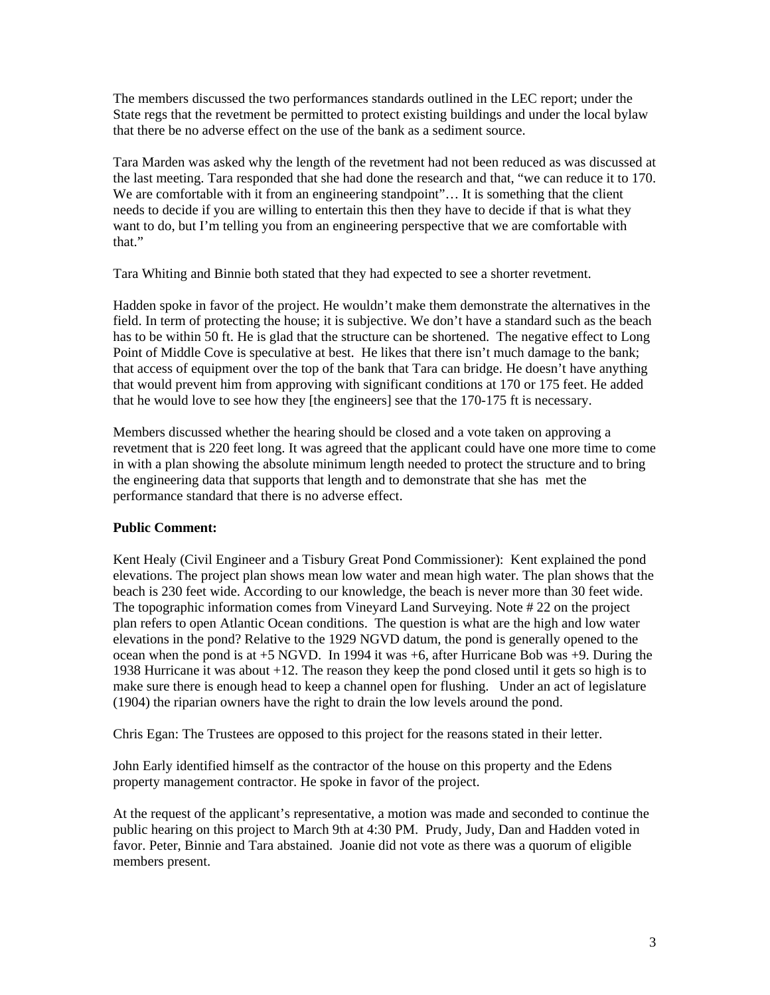The members discussed the two performances standards outlined in the LEC report; under the State regs that the revetment be permitted to protect existing buildings and under the local bylaw that there be no adverse effect on the use of the bank as a sediment source.

Tara Marden was asked why the length of the revetment had not been reduced as was discussed at the last meeting. Tara responded that she had done the research and that, "we can reduce it to 170. We are comfortable with it from an engineering standpoint"... It is something that the client needs to decide if you are willing to entertain this then they have to decide if that is what they want to do, but I'm telling you from an engineering perspective that we are comfortable with that."

Tara Whiting and Binnie both stated that they had expected to see a shorter revetment.

Hadden spoke in favor of the project. He wouldn't make them demonstrate the alternatives in the field. In term of protecting the house; it is subjective. We don't have a standard such as the beach has to be within 50 ft. He is glad that the structure can be shortened. The negative effect to Long Point of Middle Cove is speculative at best. He likes that there isn't much damage to the bank; that access of equipment over the top of the bank that Tara can bridge. He doesn't have anything that would prevent him from approving with significant conditions at 170 or 175 feet. He added that he would love to see how they [the engineers] see that the 170-175 ft is necessary.

Members discussed whether the hearing should be closed and a vote taken on approving a revetment that is 220 feet long. It was agreed that the applicant could have one more time to come in with a plan showing the absolute minimum length needed to protect the structure and to bring the engineering data that supports that length and to demonstrate that she has met the performance standard that there is no adverse effect.

# **Public Comment:**

Kent Healy (Civil Engineer and a Tisbury Great Pond Commissioner): Kent explained the pond elevations. The project plan shows mean low water and mean high water. The plan shows that the beach is 230 feet wide. According to our knowledge, the beach is never more than 30 feet wide. The topographic information comes from Vineyard Land Surveying. Note # 22 on the project plan refers to open Atlantic Ocean conditions. The question is what are the high and low water elevations in the pond? Relative to the 1929 NGVD datum, the pond is generally opened to the ocean when the pond is at  $+5$  NGVD. In 1994 it was  $+6$ , after Hurricane Bob was  $+9$ . During the 1938 Hurricane it was about +12. The reason they keep the pond closed until it gets so high is to make sure there is enough head to keep a channel open for flushing. Under an act of legislature (1904) the riparian owners have the right to drain the low levels around the pond.

Chris Egan: The Trustees are opposed to this project for the reasons stated in their letter.

John Early identified himself as the contractor of the house on this property and the Edens property management contractor. He spoke in favor of the project.

At the request of the applicant's representative, a motion was made and seconded to continue the public hearing on this project to March 9th at 4:30 PM. Prudy, Judy, Dan and Hadden voted in favor. Peter, Binnie and Tara abstained. Joanie did not vote as there was a quorum of eligible members present.